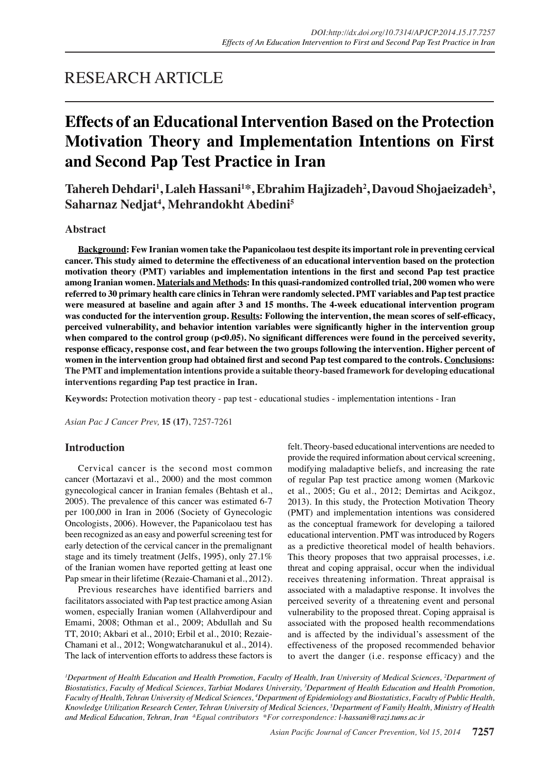## RESEARCH ARTICLE

# **Effects of an Educational Intervention Based on the Protection Motivation Theory and Implementation Intentions on First and Second Pap Test Practice in Iran**

**Tahereh Dehdari1 , Laleh Hassani<sup>1</sup> \*, Ebrahim Hajizadeh<sup>2</sup> , Davoud Shojaeizadeh<sup>3</sup> , Saharnaz Nedjat<sup>4</sup> , Mehrandokht Abedini5**

### **Abstract**

**Background: Few Iranian women take the Papanicolaou test despite its important role in preventing cervical cancer. This study aimed to determine the effectiveness of an educational intervention based on the protection motivation theory (PMT) variables and implementation intentions in the first and second Pap test practice among Iranian women. Materials and Methods: In this quasi-randomized controlled trial, 200 women who were referred to 30 primary health care clinics in Tehran were randomly selected. PMT variables and Pap test practice were measured at baseline and again after 3 and 15 months. The 4-week educational intervention program was conducted for the intervention group. Results: Following the intervention, the mean scores of self-efficacy, perceived vulnerability, and behavior intention variables were significantly higher in the intervention group**  when compared to the control group (p<0.05). No significant differences were found in the perceived severity, **response efficacy, response cost, and fear between the two groups following the intervention. Higher percent of women in the intervention group had obtained first and second Pap test compared to the controls. Conclusions: The PMT and implementation intentions provide a suitable theory-based framework for developing educational interventions regarding Pap test practice in Iran.**

**Keywords:** Protection motivation theory - pap test - educational studies - implementation intentions - Iran

*Asian Pac J Cancer Prev,* **15 (17)**, 7257-7261

## **Introduction**

Cervical cancer is the second most common cancer (Mortazavi et al., 2000) and the most common gynecological cancer in Iranian females (Behtash et al., 2005). The prevalence of this cancer was estimated 6-7 per 100,000 in Iran in 2006 (Society of Gynecologic Oncologists, 2006). However, the Papanicolaou test has been recognized as an easy and powerful screening test for early detection of the cervical cancer in the premalignant stage and its timely treatment (Jelfs, 1995), only 27.1% of the Iranian women have reported getting at least one Pap smear in their lifetime (Rezaie-Chamani et al., 2012).

Previous researches have identified barriers and facilitators associated with Pap test practice among Asian women, especially Iranian women (Allahverdipour and Emami, 2008; Othman et al., 2009; Abdullah and Su TT, 2010; Akbari et al., 2010; Erbil et al., 2010; Rezaie-Chamani et al., 2012; Wongwatcharanukul et al., 2014). The lack of intervention efforts to address these factors is felt. Theory-based educational interventions are needed to provide the required information about cervical screening, modifying maladaptive beliefs, and increasing the rate of regular Pap test practice among women (Markovic et al., 2005; Gu et al., 2012; Demirtas and Acikgoz, 2013). In this study, the Protection Motivation Theory (PMT) and implementation intentions was considered as the conceptual framework for developing a tailored educational intervention. PMT was introduced by Rogers as a predictive theoretical model of health behaviors. This theory proposes that two appraisal processes, i.e. threat and coping appraisal, occur when the individual receives threatening information. Threat appraisal is associated with a maladaptive response. It involves the perceived severity of a threatening event and personal vulnerability to the proposed threat. Coping appraisal is associated with the proposed health recommendations and is affected by the individual's assessment of the effectiveness of the proposed recommended behavior to avert the danger (i.e. response efficacy) and the

*1 Department of Health Education and Health Promotion, Faculty of Health, Iran University of Medical Sciences, 2 Department of Biostatistics, Faculty of Medical Sciences, Tarbiat Modares University, 3 Department of Health Education and Health Promotion, Faculty of Health, Tehran University of Medical Sciences, 4 Department of Epidemiology and Biostatistics, Faculty of Public Health, Knowledge Utilization Research Center, Tehran University of Medical Sciences, 5 Department of Family Health, Ministry of Health and Medical Education, Tehran, Iran &Equal contributors \*For correspondence: l-hassani@razi.tums.ac.ir*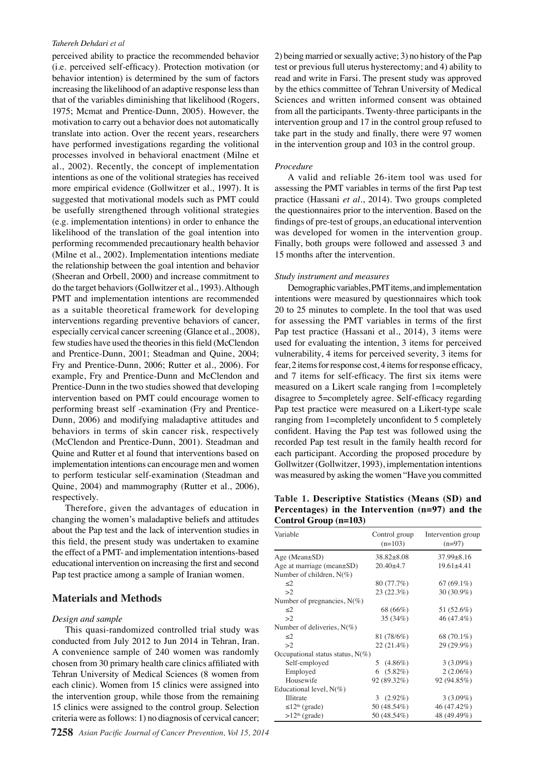#### *Tahereh Dehdari et al*

perceived ability to practice the recommended behavior (i.e. perceived self-efficacy). Protection motivation (or behavior intention) is determined by the sum of factors increasing the likelihood of an adaptive response less than that of the variables diminishing that likelihood (Rogers, 1975; Mcmat and Prentice-Dunn, 2005). However, the motivation to carry out a behavior does not automatically translate into action. Over the recent years, researchers have performed investigations regarding the volitional processes involved in behavioral enactment (Milne et al., 2002). Recently, the concept of implementation intentions as one of the volitional strategies has received more empirical evidence (Gollwitzer et al., 1997). It is suggested that motivational models such as PMT could be usefully strengthened through volitional strategies (e.g. implementation intentions) in order to enhance the likelihood of the translation of the goal intention into performing recommended precautionary health behavior (Milne et al., 2002). Implementation intentions mediate the relationship between the goal intention and behavior (Sheeran and Orbell, 2000) and increase commitment to do the target behaviors (Gollwitzer et al., 1993). Although PMT and implementation intentions are recommended as a suitable theoretical framework for developing interventions regarding preventive behaviors of cancer, especially cervical cancer screening (Glance et al., 2008), few studies have used the theories in this field (McClendon and Prentice-Dunn, 2001; Steadman and Quine, 2004; Fry and Prentice-Dunn, 2006; Rutter et al., 2006). For example, Fry and Prentice-Dunn and McClendon and Prentice-Dunn in the two studies showed that developing intervention based on PMT could encourage women to performing breast self -examination (Fry and Prentice-Dunn, 2006) and modifying maladaptive attitudes and behaviors in terms of skin cancer risk, respectively (McClendon and Prentice-Dunn, 2001). Steadman and Quine and Rutter et al found that interventions based on implementation intentions can encourage men and women to perform testicular self-examination (Steadman and Quine, 2004) and mammography (Rutter et al., 2006), respectively.

Therefore, given the advantages of education in changing the women's maladaptive beliefs and attitudes about the Pap test and the lack of intervention studies in this field, the present study was undertaken to examine the effect of a PMT- and implementation intentions-based educational intervention on increasing the first and second Pap test practice among a sample of Iranian women.

#### **Materials and Methods**

#### *Design and sample*

This quasi-randomized controlled trial study was conducted from July 2012 to Jun 2014 in Tehran, Iran. A convenience sample of 240 women was randomly chosen from 30 primary health care clinics affiliated with Tehran University of Medical Sciences (8 women from each clinic). Women from 15 clinics were assigned into the intervention group, while those from the remaining 15 clinics were assigned to the control group. Selection criteria were as follows: 1) no diagnosis of cervical cancer;

2) being married or sexually active; 3) no history of the Pap test or previous full uterus hysterectomy; and 4) ability to read and write in Farsi. The present study was approved by the ethics committee of Tehran University of Medical Sciences and written informed consent was obtained from all the participants. Twenty-three participants in the intervention group and 17 in the control group refused to take part in the study and finally, there were 97 women in the intervention group and 103 in the control group.

#### *Procedure*

A valid and reliable 26-item tool was used for assessing the PMT variables in terms of the first Pap test practice (Hassani *et al*., 2014). Two groups completed the questionnaires prior to the intervention. Based on the findings of pre-test of groups, an educational intervention was developed for women in the intervention group. Finally, both groups were followed and assessed 3 and 15 months after the intervention.

## *Study instrument and measures*

Demographic variables, PMT items, and implementation intentions were measured by questionnaires which took 20 to 25 minutes to complete. In the tool that was used for assessing the PMT variables in terms of the first Pap test practice (Hassani et al., 2014), 3 items were used for evaluating the intention, 3 items for perceived vulnerability, 4 items for perceived severity, 3 items for fear, 2 items for response cost, 4 items for response efficacy, and 7 items for self-efficacy. The first six items were measured on a Likert scale ranging from 1=completely disagree to 5=completely agree. Self-efficacy regarding Pap test practice were measured on a Likert-type scale ranging from 1=completely unconfident to 5 completely confident. Having the Pap test was followed using the recorded Pap test result in the family health record for each participant. According the proposed procedure by Gollwitzer (Gollwitzer, 1993), implementation intentions was measured by asking the women "Have you committed

**Table 1. Descriptive Statistics (Means (SD) and Percentages) in the Intervention (n=97) and the Control Group (n=103)**

| Variable                            | Control group<br>$(n=103)$ | Intervention group<br>$(n=97)$<br>$37.99 \pm 8.16$ |  |
|-------------------------------------|----------------------------|----------------------------------------------------|--|
| Age (Mean $\pm$ SD)                 | $38.82 \pm 8.08$           |                                                    |  |
| Age at marriage (mean±SD)           | $20.40 + 4.7$              | $19.61 \pm 4.41$                                   |  |
| Number of children, $N(\%)$         |                            |                                                    |  |
| $\leq$ 2                            | 80 (77.7%)                 | $67(69.1\%)$                                       |  |
| >2                                  | 23(22.3%)                  | $30(30.9\%)$                                       |  |
| Number of pregnancies, $N(\%)$      |                            |                                                    |  |
| $\leq$ 2                            | 68 (66%)                   | 51 (52.6%)                                         |  |
| >2                                  | 35 (34%)                   | 46 (47.4%)                                         |  |
| Number of deliveries, $N(\%)$       |                            |                                                    |  |
| $\leq$ 2                            | 81 (78/6%)                 | 68 (70.1%)                                         |  |
| >2                                  | 22 (21.4%)                 | 29 (29.9%)                                         |  |
| Occupational status status, $N(\%)$ |                            |                                                    |  |
| Self-employed                       | 5 $(4.86\%)$               | $3(3.09\%)$                                        |  |
| Employed                            | 6 $(5.82\%)$               | $2(2.06\%)$                                        |  |
| Housewife                           | 92 (89.32%)                | 92 (94.85%)                                        |  |
| Educational level, $N(\%)$          |                            |                                                    |  |
| <b>Illitrate</b>                    | 3 $(2.92\%)$               | $3(3.09\%)$                                        |  |
| $\leq 12^{\text{th}}$ (grade)       | 50 (48.54%)                | 46 (47.42%)                                        |  |
| $>12th$ (grade)                     | 50 (48.54%)                | 48 (49.49%)                                        |  |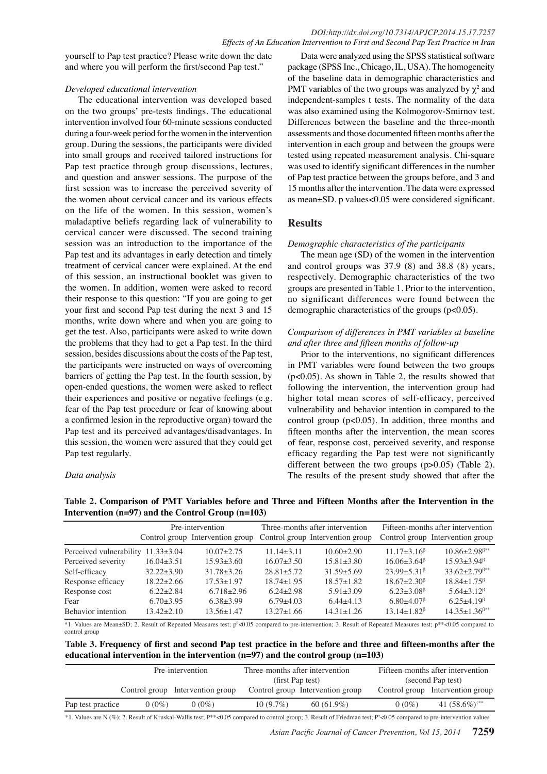yourself to Pap test practice? Please write down the date and where you will perform the first/second Pap test."

### *Developed educational intervention*

The educational intervention was developed based on the two groups' pre-tests findings. The educational intervention involved four 60-minute sessions conducted during a four-week period for the women in the intervention group. During the sessions, the participants were divided into small groups and received tailored instructions for Pap test practice through group discussions, lectures, and question and answer sessions. The purpose of the first session was to increase the perceived severity of the women about cervical cancer and its various effects on the life of the women. In this session, women's maladaptive beliefs regarding lack of vulnerability to cervical cancer were discussed. The second training session was an introduction to the importance of the Pap test and its advantages in early detection and timely treatment of cervical cancer were explained. At the end of this session, an instructional booklet was given to the women. In addition, women were asked to record their response to this question: "If you are going to get your first and second Pap test during the next 3 and 15 months, write down where and when you are going to get the test. Also, participants were asked to write down the problems that they had to get a Pap test. In the third session, besides discussions about the costs of the Pap test, the participants were instructed on ways of overcoming barriers of getting the Pap test. In the fourth session, by open-ended questions, the women were asked to reflect their experiences and positive or negative feelings (e.g. fear of the Pap test procedure or fear of knowing about a confirmed lesion in the reproductive organ) toward the Pap test and its perceived advantages/disadvantages. In this session, the women were assured that they could get Pap test regularly.

### *Data analysis*

Data were analyzed using the SPSS statistical software package (SPSS Inc., Chicago, IL, USA). The homogeneity of the baseline data in demographic characteristics and PMT variables of the two groups was analyzed by  $\chi^2$  and independent-samples t tests. The normality of the data was also examined using the Kolmogorov-Smirnov test. Differences between the baseline and the three-month assessments and those documented fifteen months after the intervention in each group and between the groups were tested using repeated measurement analysis. Chi-square was used to identify significant differences in the number of Pap test practice between the groups before, and 3 and 15 months after the intervention. The data were expressed as mean±SD. p values<0.05 were considered significant.

## **Results**

### *Demographic characteristics of the participants*

The mean age (SD) of the women in the intervention and control groups was 37.9 (8) and 38.8 (8) years, respectively. Demographic characteristics of the two groups are presented in Table 1. Prior to the intervention, no significant differences were found between the demographic characteristics of the groups (p<0.05).

## *Comparison of differences in PMT variables at baseline and after three and fifteen months of follow-up*

Prior to the interventions, no significant differences in PMT variables were found between the two groups (p<0.05). As shown in Table 2, the results showed that following the intervention, the intervention group had higher total mean scores of self-efficacy, perceived vulnerability and behavior intention in compared to the control group  $(p<0.05)$ . In addition, three months and fifteen months after the intervention, the mean scores of fear, response cost, perceived severity, and response efficacy regarding the Pap test were not significantly different between the two groups  $(p>0.05)$  (Table 2). The results of the present study showed that after the

|                                          | Pre-intervention |                                  | Three-months after intervention |                                  | Fifteen-months after intervention             |                                                  |
|------------------------------------------|------------------|----------------------------------|---------------------------------|----------------------------------|-----------------------------------------------|--------------------------------------------------|
|                                          |                  | Control group Intervention group |                                 | Control group Intervention group |                                               | Control group Intervention group                 |
| Perceived vulnerability $11.33 \pm 3.04$ |                  | $10.07 + 2.75$                   | $11.14\pm3.11$                  | $10.60 + 2.90$                   | $11.17\pm3.16^{\beta}$                        | $10.86 \pm 2.98$ <sup><math>\beta</math>**</sup> |
| Perceived severity                       | $16.04 + 3.51$   | $15.93 \pm 3.60$                 | $16.07 + 3.50$                  | $15.81 \pm 3.80$                 | $16.06 \pm 3.64^{\beta}$                      | $15.93 + 3.94^{\beta}$                           |
| Self-efficacy                            | $32.22 + 3.90$   | $31.78 \pm 3.26$                 | $28.81 + 5.72$                  | $31.59 + 5.69$                   | $23.99 + 5.31^{\beta}$                        | $33.62 \pm 2.79$ <sup><math>\beta**</math></sup> |
| Response efficacy                        | $18.22 + 2.66$   | $17.53 + 1.97$                   | $18.74 + 1.95$                  | $18.57 + 1.82$                   | $18.67 + 2.30^{\beta}$                        | $18.84 \pm 1.75^{\beta}$                         |
| Response cost                            | $6.22 + 2.84$    | $6.718 + 2.96$                   | $6.24 + 2.98$                   | $5.91 \pm 3.09$                  | $6.23 \pm 3.08$ <sup><math>\beta</math></sup> | $5.64\pm3.12^{\beta}$                            |
| Fear                                     | $6.70 \pm 3.95$  | $6.38 + 3.99$                    | $6.79 + 4.03$                   | $6.44 + 4.13$                    | $6.80 + 4.07$ <sup><math>\beta</math></sup>   | $6.25 + 4.19^{\beta}$                            |
| Behavior intention                       | $13.42 + 2.10$   | $13.56 \pm 1.47$                 | $13.27 \pm 1.66$                | $14.31 \pm 1.26$                 | $13.14 \pm 1.82^{\beta}$                      | $14.35 \pm 1.36^{\beta**}$                       |

**Table 2. Comparison of PMT Variables before and Three and Fifteen Months after the Intervention in the Intervention (n=97) and the Control Group (n=103)**

\*1. Values are Mean±SD; 2. Result of Repeated Measures test; p<sup>β</sup><0.05 compared to pre-intervention; 3. Result of Repeated Measures test; p\*\*<0.05 compared to control group

**Table 3. Frequency of first and second Pap test practice in the before and three and fifteen-months after the educational intervention in the intervention (n=97) and the control group (n=103)**

|                   | Pre-intervention |                                  | Three-months after intervention |                                  | Fifteen-months after intervention |                                  |
|-------------------|------------------|----------------------------------|---------------------------------|----------------------------------|-----------------------------------|----------------------------------|
|                   |                  |                                  | (first Pap test)                |                                  | (second Pap test)                 |                                  |
|                   |                  | Control group Intervention group |                                 | Control group Intervention group |                                   | Control group Intervention group |
| Pap test practice | $0(0\%)$         | $0(0\%)$                         | $10(9.7\%)$                     | $60(61.9\%)$                     | $0(0\%)$                          | 41 $(58.6\%)^{\dagger**}$        |

\*1. Values are N (%); 2. Result of Kruskal-Wallis test; P\*\*<0.05 compared to control group; 3. Result of Friedman test; P† <0.05 compared to pre-intervention values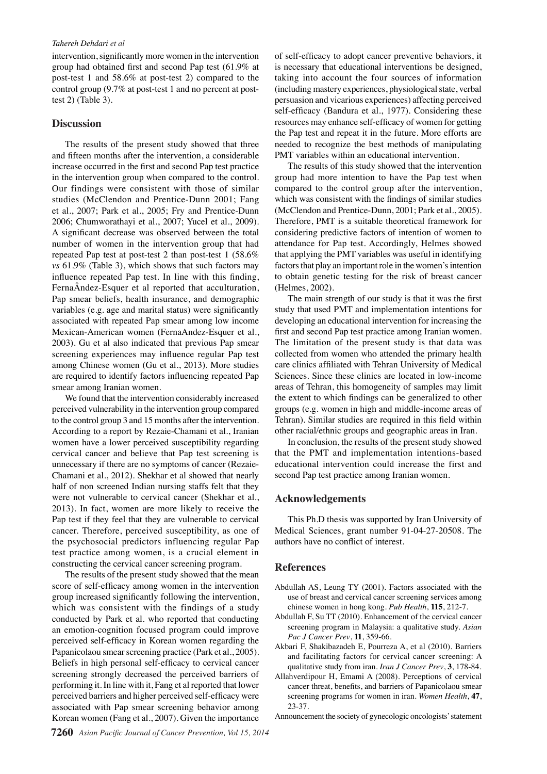#### *Tahereh Dehdari et al*

intervention, significantly more women in the intervention group had obtained first and second Pap test (61.9% at post-test 1 and 58.6% at post-test 2) compared to the control group (9.7% at post-test 1 and no percent at posttest 2) (Table 3).

#### **Discussion**

The results of the present study showed that three and fifteen months after the intervention, a considerable increase occurred in the first and second Pap test practice in the intervention group when compared to the control. Our findings were consistent with those of similar studies (McClendon and Prentice-Dunn 2001; Fang et al., 2007; Park et al., 2005; Fry and Prentice-Dunn 2006; Chumworathayi et al., 2007; Yucel et al., 2009). A significant decrease was observed between the total number of women in the intervention group that had repeated Pap test at post-test 2 than post-test 1 (58.6% *vs* 61.9% (Table 3), which shows that such factors may influence repeated Pap test. In line with this finding, FernaÂndez-Esquer et al reported that acculturation, Pap smear beliefs, health insurance, and demographic variables (e.g. age and marital status) were significantly associated with repeated Pap smear among low income Mexican-American women (FernaAndez-Esquer et al., 2003). Gu et al also indicated that previous Pap smear screening experiences may influence regular Pap test among Chinese women (Gu et al., 2013). More studies are required to identify factors influencing repeated Pap smear among Iranian women.

We found that the intervention considerably increased perceived vulnerability in the intervention group compared to the control group 3 and 15 months after the intervention. According to a report by Rezaie-Chamani et al., Iranian women have a lower perceived susceptibility regarding cervical cancer and believe that Pap test screening is unnecessary if there are no symptoms of cancer (Rezaie-Chamani et al., 2012). Shekhar et al showed that nearly half of non screened Indian nursing staffs felt that they were not vulnerable to cervical cancer (Shekhar et al., 2013). In fact, women are more likely to receive the Pap test if they feel that they are vulnerable to cervical cancer. Therefore, perceived susceptibility, as one of the psychosocial predictors influencing regular Pap test practice among women, is a crucial element in constructing the cervical cancer screening program.

The results of the present study showed that the mean score of self-efficacy among women in the intervention group increased significantly following the intervention, which was consistent with the findings of a study conducted by Park et al. who reported that conducting an emotion-cognition focused program could improve perceived self-efficacy in Korean women regarding the Papanicolaou smear screening practice (Park et al., 2005). Beliefs in high personal self-efficacy to cervical cancer screening strongly decreased the perceived barriers of performing it. In line with it, Fang et al reported that lower perceived barriers and higher perceived self-efficacy were associated with Pap smear screening behavior among Korean women (Fang et al., 2007). Given the importance

of self-efficacy to adopt cancer preventive behaviors, it is necessary that educational interventions be designed, taking into account the four sources of information (including mastery experiences, physiological state, verbal persuasion and vicarious experiences) affecting perceived self-efficacy (Bandura et al., 1977). Considering these resources may enhance self-efficacy of women for getting the Pap test and repeat it in the future. More efforts are needed to recognize the best methods of manipulating PMT variables within an educational intervention.

The results of this study showed that the intervention group had more intention to have the Pap test when compared to the control group after the intervention, which was consistent with the findings of similar studies (McClendon and Prentice-Dunn, 2001; Park et al., 2005). Therefore, PMT is a suitable theoretical framework for considering predictive factors of intention of women to attendance for Pap test. Accordingly, Helmes showed that applying the PMT variables was useful in identifying factors that play an important role in the women's intention to obtain genetic testing for the risk of breast cancer (Helmes, 2002).

The main strength of our study is that it was the first study that used PMT and implementation intentions for developing an educational intervention for increasing the first and second Pap test practice among Iranian women. The limitation of the present study is that data was collected from women who attended the primary health care clinics affiliated with Tehran University of Medical Sciences. Since these clinics are located in low-income areas of Tehran, this homogeneity of samples may limit the extent to which findings can be generalized to other groups (e.g. women in high and middle-income areas of Tehran). Similar studies are required in this field within other racial/ethnic groups and geographic areas in Iran.

In conclusion, the results of the present study showed that the PMT and implementation intentions-based educational intervention could increase the first and second Pap test practice among Iranian women.

## **Acknowledgements**

This Ph.D thesis was supported by Iran University of Medical Sciences, grant number 91-04-27-20508. The authors have no conflict of interest.

#### **References**

- Abdullah AS, Leung TY (2001). Factors associated with the use of breast and cervical cancer screening services among chinese women in hong kong. *Pub Health*, **115**, 212-7.
- Abdullah F, Su TT (2010). Enhancement of the cervical cancer screening program in Malaysia: a qualitative study. *Asian Pac J Cancer Prev*, **11**, 359-66.
- Akbari F, Shakibazadeh E, Pourreza A, et al (2010). Barriers and facilitating factors for cervical cancer screening: A qualitative study from iran. *Iran J Cancer Prev*, **3**, 178-84.
- Allahverdipour H, Emami A (2008). Perceptions of cervical cancer threat, benefits, and barriers of Papanicolaou smear screening programs for women in iran. *Women Health*, **47**, 23-37.

Announcement the society of gynecologic oncologists' statement